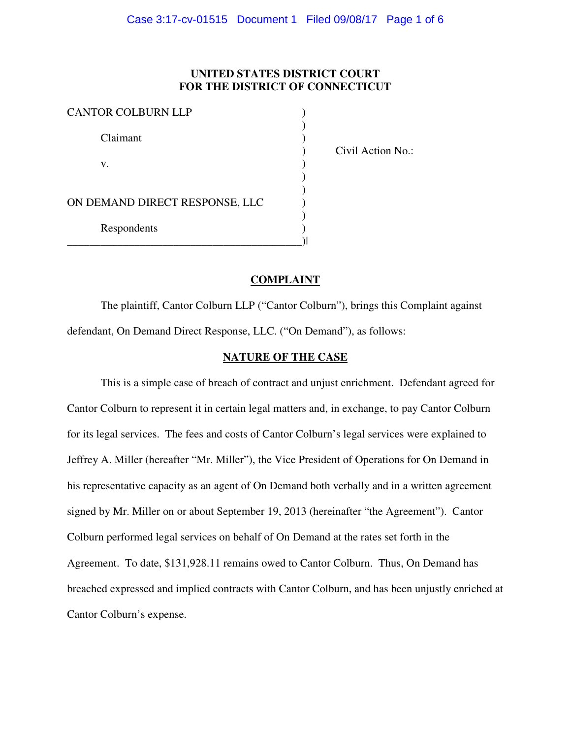### **UNITED STATES DISTRICT COURT FOR THE DISTRICT OF CONNECTICUT**

| <b>CANTOR COLBURN LLP</b>      |  |
|--------------------------------|--|
| Claimant                       |  |
| V.                             |  |
| ON DEMAND DIRECT RESPONSE, LLC |  |
| Respondents                    |  |
|                                |  |

) Civil Action No.:

### **COMPLAINT**

 The plaintiff, Cantor Colburn LLP ("Cantor Colburn"), brings this Complaint against defendant, On Demand Direct Response, LLC. ("On Demand"), as follows:

### **NATURE OF THE CASE**

 This is a simple case of breach of contract and unjust enrichment. Defendant agreed for Cantor Colburn to represent it in certain legal matters and, in exchange, to pay Cantor Colburn for its legal services. The fees and costs of Cantor Colburn's legal services were explained to Jeffrey A. Miller (hereafter "Mr. Miller"), the Vice President of Operations for On Demand in his representative capacity as an agent of On Demand both verbally and in a written agreement signed by Mr. Miller on or about September 19, 2013 (hereinafter "the Agreement"). Cantor Colburn performed legal services on behalf of On Demand at the rates set forth in the Agreement. To date, \$131,928.11 remains owed to Cantor Colburn. Thus, On Demand has breached expressed and implied contracts with Cantor Colburn, and has been unjustly enriched at Cantor Colburn's expense.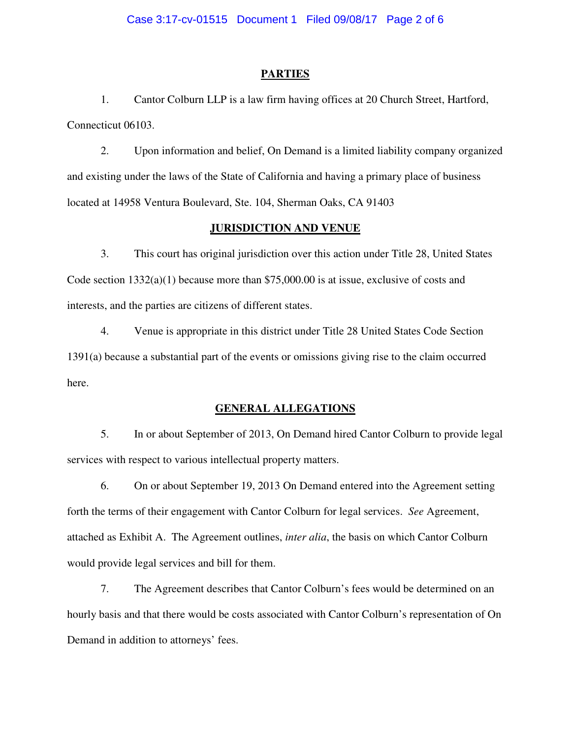### **PARTIES**

1. Cantor Colburn LLP is a law firm having offices at 20 Church Street, Hartford, Connecticut 06103.

2. Upon information and belief, On Demand is a limited liability company organized and existing under the laws of the State of California and having a primary place of business located at 14958 Ventura Boulevard, Ste. 104, Sherman Oaks, CA 91403

### **JURISDICTION AND VENUE**

3. This court has original jurisdiction over this action under Title 28, United States Code section  $1332(a)(1)$  because more than \$75,000.00 is at issue, exclusive of costs and interests, and the parties are citizens of different states.

4. Venue is appropriate in this district under Title 28 United States Code Section 1391(a) because a substantial part of the events or omissions giving rise to the claim occurred here.

### **GENERAL ALLEGATIONS**

5. In or about September of 2013, On Demand hired Cantor Colburn to provide legal services with respect to various intellectual property matters.

6. On or about September 19, 2013 On Demand entered into the Agreement setting forth the terms of their engagement with Cantor Colburn for legal services. *See* Agreement, attached as Exhibit A. The Agreement outlines, *inter alia*, the basis on which Cantor Colburn would provide legal services and bill for them.

7. The Agreement describes that Cantor Colburn's fees would be determined on an hourly basis and that there would be costs associated with Cantor Colburn's representation of On Demand in addition to attorneys' fees.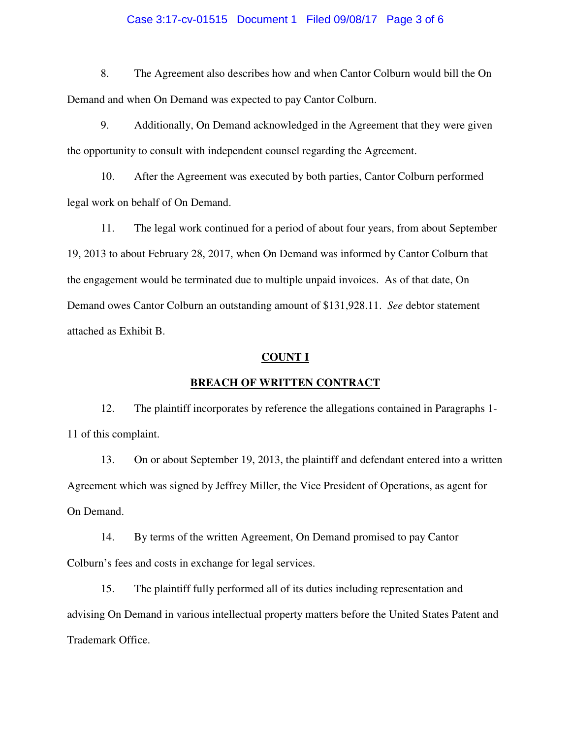### Case 3:17-cv-01515 Document 1 Filed 09/08/17 Page 3 of 6

8. The Agreement also describes how and when Cantor Colburn would bill the On Demand and when On Demand was expected to pay Cantor Colburn.

9. Additionally, On Demand acknowledged in the Agreement that they were given the opportunity to consult with independent counsel regarding the Agreement.

10. After the Agreement was executed by both parties, Cantor Colburn performed legal work on behalf of On Demand.

11. The legal work continued for a period of about four years, from about September 19, 2013 to about February 28, 2017, when On Demand was informed by Cantor Colburn that the engagement would be terminated due to multiple unpaid invoices. As of that date, On Demand owes Cantor Colburn an outstanding amount of \$131,928.11. *See* debtor statement attached as Exhibit B.

### **COUNT I**

### **BREACH OF WRITTEN CONTRACT**

12. The plaintiff incorporates by reference the allegations contained in Paragraphs 1- 11 of this complaint.

13. On or about September 19, 2013, the plaintiff and defendant entered into a written Agreement which was signed by Jeffrey Miller, the Vice President of Operations, as agent for On Demand.

14. By terms of the written Agreement, On Demand promised to pay Cantor Colburn's fees and costs in exchange for legal services.

15. The plaintiff fully performed all of its duties including representation and advising On Demand in various intellectual property matters before the United States Patent and Trademark Office.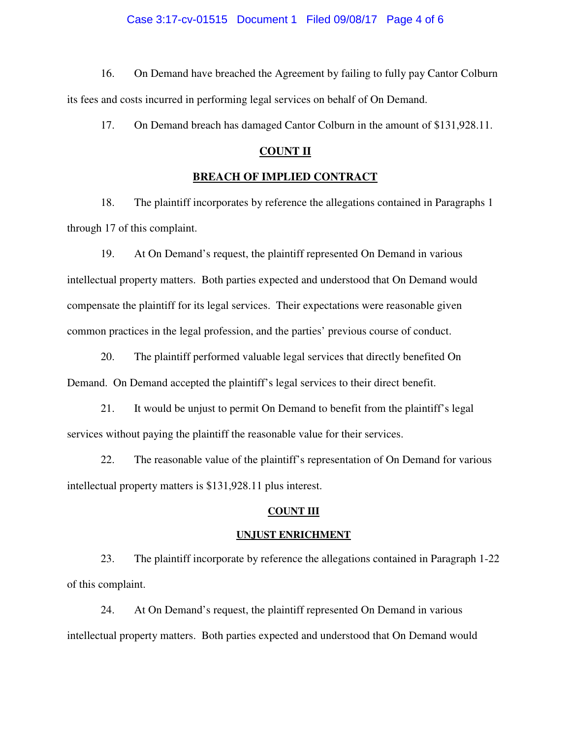### Case 3:17-cv-01515 Document 1 Filed 09/08/17 Page 4 of 6

16. On Demand have breached the Agreement by failing to fully pay Cantor Colburn its fees and costs incurred in performing legal services on behalf of On Demand.

17. On Demand breach has damaged Cantor Colburn in the amount of \$131,928.11.

### **COUNT II**

### **BREACH OF IMPLIED CONTRACT**

18. The plaintiff incorporates by reference the allegations contained in Paragraphs 1 through 17 of this complaint.

19. At On Demand's request, the plaintiff represented On Demand in various intellectual property matters. Both parties expected and understood that On Demand would compensate the plaintiff for its legal services. Their expectations were reasonable given common practices in the legal profession, and the parties' previous course of conduct.

20. The plaintiff performed valuable legal services that directly benefited On Demand. On Demand accepted the plaintiff's legal services to their direct benefit.

21. It would be unjust to permit On Demand to benefit from the plaintiff's legal services without paying the plaintiff the reasonable value for their services.

22. The reasonable value of the plaintiff's representation of On Demand for various intellectual property matters is \$131,928.11 plus interest.

### **COUNT III**

### **UNJUST ENRICHMENT**

23. The plaintiff incorporate by reference the allegations contained in Paragraph 1-22 of this complaint.

24. At On Demand's request, the plaintiff represented On Demand in various intellectual property matters. Both parties expected and understood that On Demand would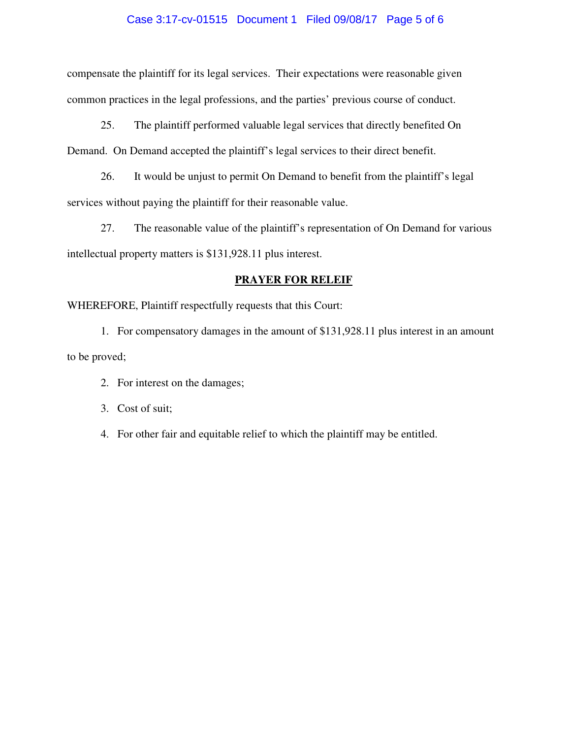### Case 3:17-cv-01515 Document 1 Filed 09/08/17 Page 5 of 6

compensate the plaintiff for its legal services. Their expectations were reasonable given common practices in the legal professions, and the parties' previous course of conduct.

25. The plaintiff performed valuable legal services that directly benefited On Demand. On Demand accepted the plaintiff's legal services to their direct benefit.

26. It would be unjust to permit On Demand to benefit from the plaintiff's legal services without paying the plaintiff for their reasonable value.

27. The reasonable value of the plaintiff's representation of On Demand for various intellectual property matters is \$131,928.11 plus interest.

### **PRAYER FOR RELEIF**

WHEREFORE, Plaintiff respectfully requests that this Court:

1. For compensatory damages in the amount of \$131,928.11 plus interest in an amount to be proved;

- 2. For interest on the damages;
- 3. Cost of suit;
- 4. For other fair and equitable relief to which the plaintiff may be entitled.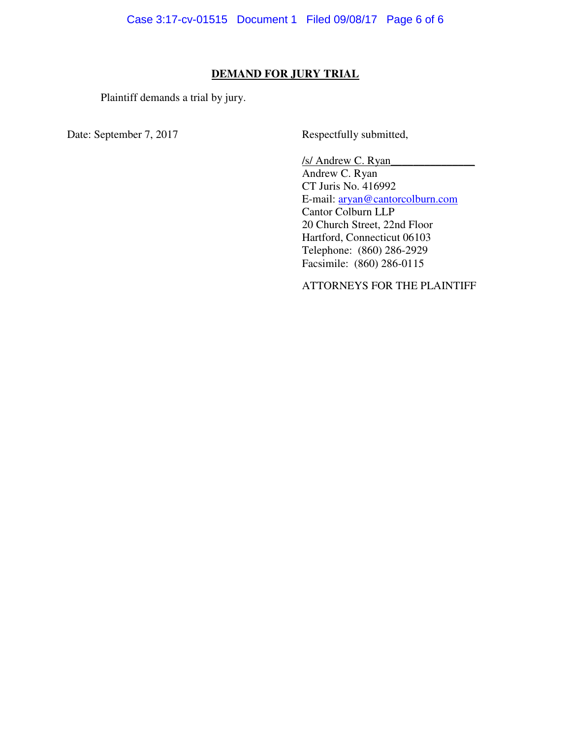### **DEMAND FOR JURY TRIAL**

Plaintiff demands a trial by jury.

Date: September 7, 2017 Respectfully submitted,

/s/ Andrew C. Ryan\_\_\_\_\_\_\_\_\_\_\_\_\_\_\_ Andrew C. Ryan CT Juris No. 416992 E-mail: aryan@cantorcolburn.com Cantor Colburn LLP 20 Church Street, 22nd Floor Hartford, Connecticut 06103 Telephone: (860) 286-2929 Facsimile: (860) 286-0115

ATTORNEYS FOR THE PLAINTIFF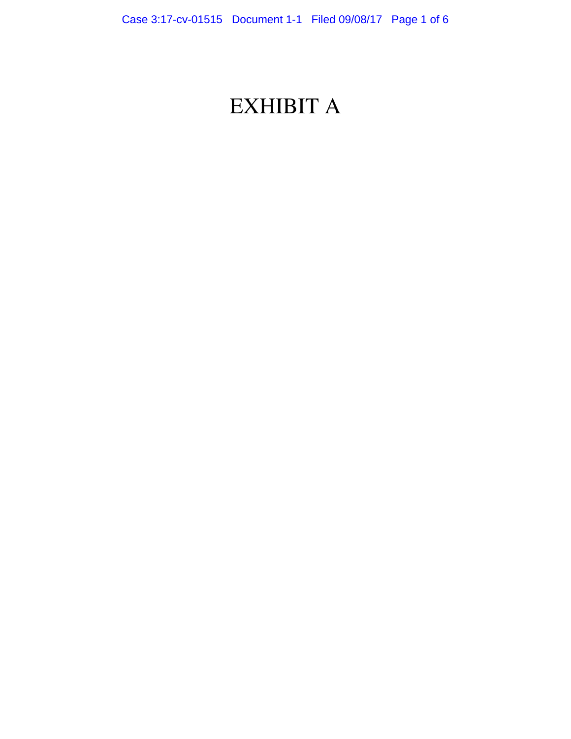# EXHIBIT A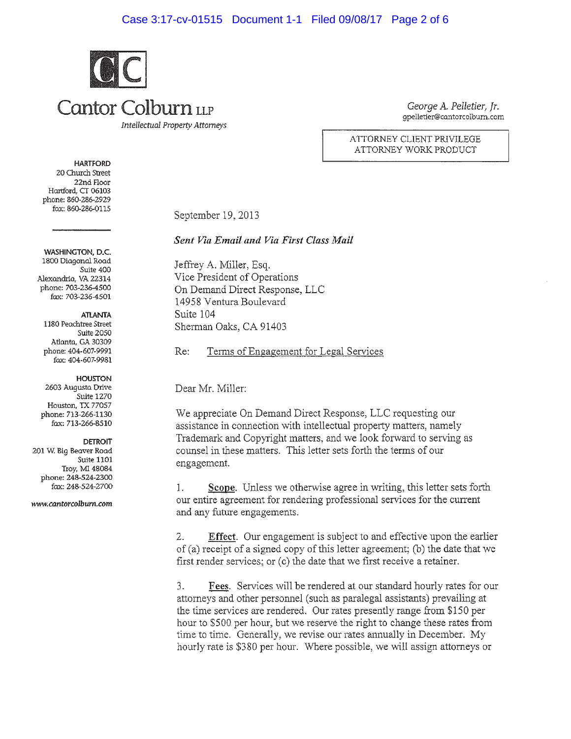### Case 3:17-cv-01515 Document 1-1 Filed 09/08/17 Page 2 of 6



George A. Pelletier, Ir. qpelletier@cantorcolburn.com

ATTORNEY CLIENT PRIVILEGE ATTORNEY WORK PRODUCT

20 Church Street

**HARTFORD** 

22nd Floor Hartford, CT 06103 phone: 860-286-2929 fax: 860-286-0115

WASHINGTON, D.C. 1800 Diagonal Road Suite 400 Alexandria, VA 22314 phone: 703-236-4500 fax: 703-236-4501

**ATLANTA** 

1180 Peachtree Street **Suite 2050** Atlanta, GA 30309 phone: 404-607-9991 fax: 404-607-9981

**HOUSTON** 2603 Augusta Drive Suite 1270 Houston, TX 77057 phone: 713-266-1130 fax: 713-266-8510

**DETROIT** 201 W. Big Beaver Road Suite 1101 Troy, MI 48084 phone: 248-524-2300 fax: 248-524-2700

www.cantorcolburn.com

September 19, 2013

Sent Via Email and Via First Class Mail

Jeffrey A. Miller, Esq. Vice President of Operations On Demand Direct Response, LLC 14958 Ventura Boulevard Suite 104 Sherman Oaks, CA 91403

Terms of Engagement for Legal Services  $Re:$ 

Dear Mr. Miller:

We appreciate On Demand Direct Response, LLC requesting our assistance in connection with intellectual property matters, namely Trademark and Copyright matters, and we look forward to serving as counsel in these matters. This letter sets forth the terms of our engagement.

Scope. Unless we otherwise agree in writing, this letter sets forth 1. our entire agreement for rendering professional services for the current and any future engagements.

Effect. Our engagement is subject to and effective upon the earlier 2. of (a) receipt of a signed copy of this letter agreement; (b) the date that we first render services; or (c) the date that we first receive a retainer.

 $3.$ Fees. Services will be rendered at our standard hourly rates for our attorneys and other personnel (such as paralegal assistants) prevailing at the time services are rendered. Our rates presently range from \$150 per hour to \$500 per hour, but we reserve the right to change these rates from time to time. Generally, we revise our rates annually in December. My hourly rate is \$380 per hour. Where possible, we will assign attorneys or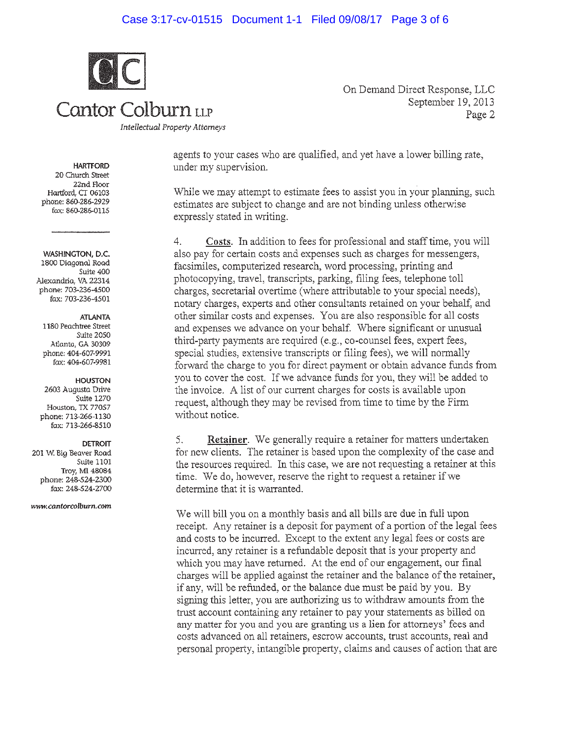### Case 3:17-cv-01515 Document 1-1 Filed 09/08/17 Page 3 of 6



Cantor Colburn LLP

On Demand Direct Response, LLC September 19, 2013 Page 2

**Intellectual Property Attorneys** 

agents to your cases who are qualified, and yet have a lower billing rate, under my supervision.

While we may attempt to estimate fees to assist you in your planning, such estimates are subject to change and are not binding unless otherwise expressly stated in writing.

Costs. In addition to fees for professional and staff time, you will  $4.$ also pay for certain costs and expenses such as charges for messengers, facsimiles, computerized research, word processing, printing and photocopying, travel, transcripts, parking, filing fees, telephone toll charges, secretarial overtime (where attributable to your special needs), notary charges, experts and other consultants retained on your behalf, and other similar costs and expenses. You are also responsible for all costs and expenses we advance on your behalf. Where significant or unusual third-party payments are required (e.g., co-counsel fees, expert fees, special studies, extensive transcripts or filing fees), we will normally forward the charge to you for direct payment or obtain advance funds from you to cover the cost. If we advance funds for you, they will be added to the invoice. A list of our current charges for costs is available upon request, although they may be revised from time to time by the Firm without notice.

**Retainer.** We generally require a retainer for matters undertaken 5. for new clients. The retainer is based upon the complexity of the case and the resources required. In this case, we are not requesting a retainer at this time. We do, however, reserve the right to request a retainer if we determine that it is warranted.

We will bill you on a monthly basis and all bills are due in full upon receipt. Any retainer is a deposit for payment of a portion of the legal fees and costs to be incurred. Except to the extent any legal fees or costs are incurred, any retainer is a refundable deposit that is your property and which you may have returned. At the end of our engagement, our final charges will be applied against the retainer and the balance of the retainer, if any, will be refunded, or the balance due must be paid by you. By signing this letter, you are authorizing us to withdraw amounts from the trust account containing any retainer to pay your statements as billed on any matter for you and you are granting us a lien for attorneys' fees and costs advanced on all retainers, escrow accounts, trust accounts, real and personal property, intangible property, claims and causes of action that are

### **HARTFORD**

20 Church Street 22nd Floor Hartford. CT 06103 phone: 860-286-2929 fax: 860-286-0115

### WASHINGTON, D.C.

1800 Diagonal Road Suite 400 Alexandria, VA 22314 phone: 703-236-4500 fax: 703-236-4501

### **ATLANTA**

1180 Peachtree Street Suite 2050 Atlanta, GA 30309 phone: 404-607-9991 fax: 404-607-9981

**HOUSTON** 2603 Augusta Drive Suite 1270 Houston, TX 77057 phone: 713-266-1130 fax: 713-266-8510

### **DETROIT**

201 W. Big Beaver Road Suite 1101 Troy, MI 48084 phone: 248-524-2300 fax: 248-524-2700

www.cantorcolburn.com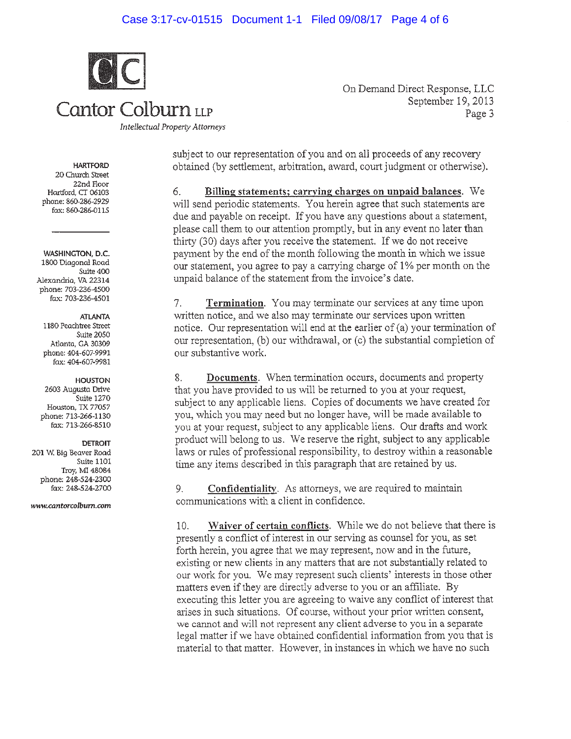### Case 3:17-cv-01515 Document 1-1 Filed 09/08/17 Page 4 of 6



On Demand Direct Response, LLC September 19, 2013 Page 3

**Intellectual Property Attorneys** 

subject to our representation of you and on all proceeds of any recovery obtained (by settlement, arbitration, award, court judgment or otherwise).

Billing statements; carrying charges on unpaid balances. We 6. will send periodic statements. You herein agree that such statements are due and payable on receipt. If you have any questions about a statement, please call them to our attention promptly, but in any event no later than thirty (30) days after you receive the statement. If we do not receive payment by the end of the month following the month in which we issue our statement, you agree to pay a carrying charge of 1% per month on the unpaid balance of the statement from the invoice's date.

Termination. You may terminate our services at any time upon 7. written notice, and we also may terminate our services upon written notice. Our representation will end at the earlier of (a) your termination of our representation, (b) our withdrawal, or (c) the substantial completion of our substantive work.

Documents. When termination occurs, documents and property 8. that you have provided to us will be returned to you at your request, subject to any applicable liens. Copies of documents we have created for you, which you may need but no longer have, will be made available to you at your request, subject to any applicable liens. Our drafts and work product will belong to us. We reserve the right, subject to any applicable laws or rules of professional responsibility, to destroy within a reasonable time any items described in this paragraph that are retained by us.

Confidentiality. As attorneys, we are required to maintain 9. communications with a client in confidence.

Waiver of certain conflicts. While we do not believe that there is  $10.$ presently a conflict of interest in our serving as counsel for you, as set forth herein, you agree that we may represent, now and in the future, existing or new clients in any matters that are not substantially related to our work for you. We may represent such clients' interests in those other matters even if they are directly adverse to you or an affiliate. By executing this letter you are agreeing to waive any conflict of interest that arises in such situations. Of course, without your prior written consent, we cannot and will not represent any client adverse to you in a separate legal matter if we have obtained confidential information from you that is material to that matter. However, in instances in which we have no such

**HARTFORD** 20 Church Street 22nd Floor Hartford, CT 06103 phone: 860-286-2929 fax: 860-286-0115

WASHINGTON, D.C. 1800 Diagonal Road Suite 400 Alexandria, VA 22314 phone: 703-236-4500 fax: 703-236-4501

**ATLANTA** 

1180 Peachtree Street Suite 2050 Atlanta, GA 30309 phone: 404-607-9991 fax: 404-607-9981

**HOUSTON** 2603 Augusta Drive Suite 1270 Houston, TX 77057 phone: 713-266-1130 fax: 713-266-8510

**DETROIT** 

201 W. Big Beaver Road Suite 1101 Troy, MI 48084 phone: 248-524-2300 fax: 248-524-2700

www.cantorcolburn.com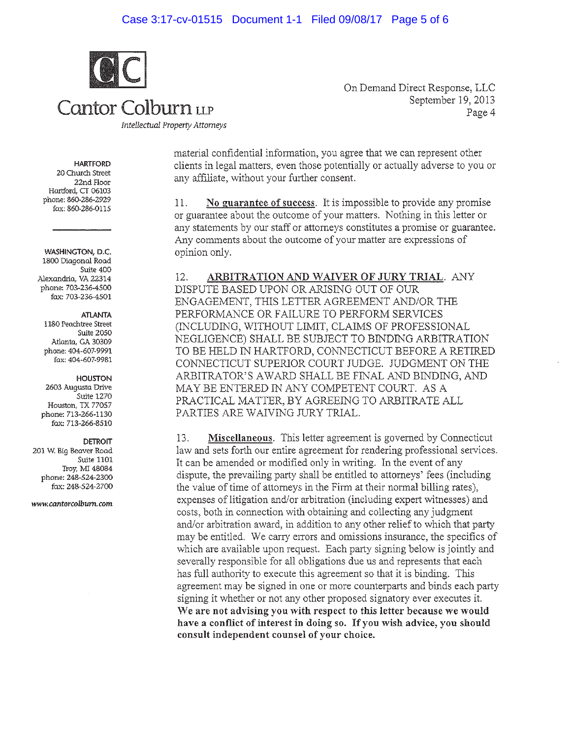### Case 3:17-cv-01515 Document 1-1 Filed 09/08/17 Page 5 of 6



Cantor Colburn LLP

**Intellectual Property Attorneys** 

On Demand Direct Response, LLC September 19, 2013 Page 4

**HARTFORD** 20 Church Street 22nd Floor Hartford, CT 06103 phone: 860-286-2929

fax: 860-286-0115

WASHINGTON, D.C. 1800 Diagonal Road Suite 400 Alexandria, VA 22314 phone: 703-236-4500 fax: 703-236-4501

### **ATLANTA**

1180 Peachtree Street Suite 2050 Atlanta, GA 30309 phone: 404-607-9991 fax: 404-607-9981

**HOUSTON** 

2603 Augusta Drive Suite 1270 Houston, TX 77057 phone: 713-266-1130 fax: 713-266-8510

### **DETROIT**

201 W. Big Beaver Road Suite 1101 Troy, MI 48084 phone: 248-524-2300 fax: 248-524-2700

www.cantorcolburn.com

material confidential information, you agree that we can represent other clients in legal matters, even those potentially or actually adverse to you or any affiliate, without your further consent.

No guarantee of success. It is impossible to provide any promise 11. or guarantee about the outcome of your matters. Nothing in this letter or any statements by our staff or attorneys constitutes a promise or guarantee. Any comments about the outcome of your matter are expressions of opinion only.

12. ARBITRATION AND WAIVER OF JURY TRIAL. ANY DISPUTE BASED UPON OR ARISING OUT OF OUR ENGAGEMENT, THIS LETTER AGREEMENT AND/OR THE PERFORMANCE OR FAILURE TO PERFORM SERVICES (INCLUDING, WITHOUT LIMIT, CLAIMS OF PROFESSIONAL NEGLIGENCE) SHALL BE SUBJECT TO BINDING ARBITRATION TO BE HELD IN HARTFORD, CONNECTICUT BEFORE A RETIRED CONNECTICUT SUPERIOR COURT JUDGE. JUDGMENT ON THE ARBITRATOR'S AWARD SHALL BE FINAL AND BINDING, AND MAY BE ENTERED IN ANY COMPETENT COURT. AS A PRACTICAL MATTER, BY AGREEING TO ARBITRATE ALL PARTIES ARE WAIVING JURY TRIAL.

Miscellaneous. This letter agreement is governed by Connecticut 13. law and sets forth our entire agreement for rendering professional services. It can be amended or modified only in writing. In the event of any dispute, the prevailing party shall be entitled to attorneys' fees (including the value of time of attorneys in the Firm at their normal billing rates), expenses of litigation and/or arbitration (including expert witnesses) and costs, both in connection with obtaining and collecting any judgment and/or arbitration award, in addition to any other relief to which that party may be entitled. We carry errors and omissions insurance, the specifics of which are available upon request. Each party signing below is jointly and severally responsible for all obligations due us and represents that each has full authority to execute this agreement so that it is binding. This agreement may be signed in one or more counterparts and binds each party signing it whether or not any other proposed signatory ever executes it. We are not advising you with respect to this letter because we would have a conflict of interest in doing so. If you wish advice, you should consult independent counsel of your choice.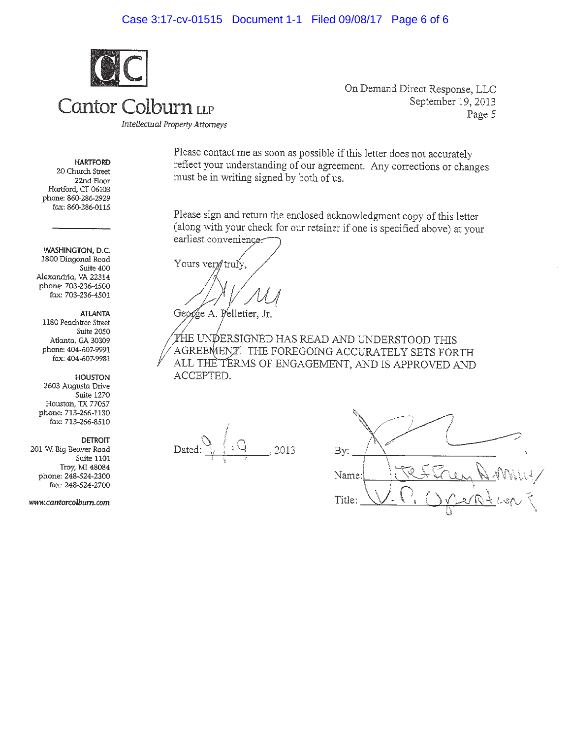### Case 3:17-cv-01515 Document 1-1 Filed 09/08/17 Page 6 of 6



Cantor Colburn LLP

On Demand Direct Response, LLC September 19, 2013 Page 5

Intellectual Property Attorneys

### **HARTFORD**

20 Church Street 22nd Floor Hartford, CT 06103 phone: 860-286-2929 fax: 860-286-0115

WASHINGTON, D.C. 1800 Diagonal Road Suite 400 Alexandria, VA 22314 phone: 703-236-4500 fax: 703-236-4501

### **ATLANTA**

1180 Peachtree Street Suite 2050 Atlanta, GA 30309 phone: 404-607-9991 fax: 404-607-9981

### HOUSTON

2603 Augusta Drive Suite 1270 Houston, TX 77057 phone: 713-266-1130 fax: 713-266-8510

**DETROIT** 

201 W. Big Beaver Road Suite 1101 Troy, MI 48084 phone: 248-524-2300 fax: 248-524-2700

www.cantorcolburn.com

Please contact me as soon as possible if this letter does not accurately reflect your understanding of our agreement. Any corrections or changes must be in writing signed by both of us.

Please sign and return the enclosed acknowledgment copy of this letter (along with your check for our retainer if one is specified above) at your earliest convenience

Yours very truly.

George A. Pelletier, Jr.

THE UNDERSIGNED HAS READ AND UNDERSTOOD THIS AGREEMENT. THE FOREGOING ACCURATELY SETS FORTH ALL THE TERMS OF ENGAGEMENT, AND IS APPROVED AND ACCEPTED.

Dated: 2013

| By:                                         |
|---------------------------------------------|
| $\sqrt{10}$<br>Name:                        |
| $\sqrt{\frac{1}{2}}$<br>Title:<br>J.<br>2 ( |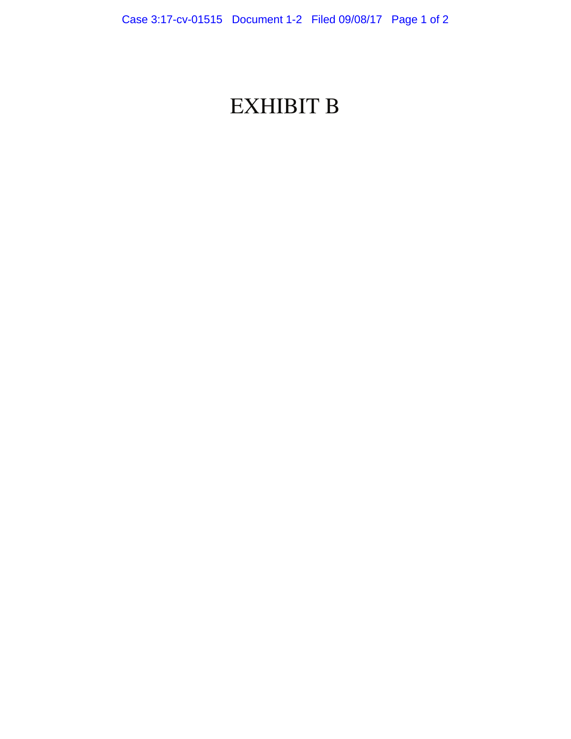## EXHIBIT B